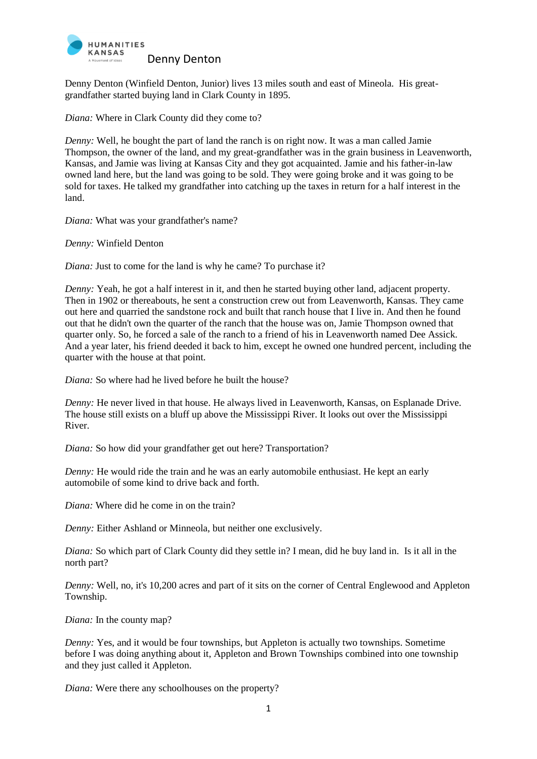

Denny Denton (Winfield Denton, Junior) lives 13 miles south and east of Mineola. His greatgrandfather started buying land in Clark County in 1895.

*Diana:* Where in Clark County did they come to?

*Denny:* Well, he bought the part of land the ranch is on right now. It was a man called Jamie Thompson, the owner of the land, and my great-grandfather was in the grain business in Leavenworth, Kansas, and Jamie was living at Kansas City and they got acquainted. Jamie and his father-in-law owned land here, but the land was going to be sold. They were going broke and it was going to be sold for taxes. He talked my grandfather into catching up the taxes in return for a half interest in the land.

*Diana:* What was your grandfather's name?

*Denny:* Winfield Denton

*Diana:* Just to come for the land is why he came? To purchase it?

*Denny:* Yeah, he got a half interest in it, and then he started buying other land, adjacent property. Then in 1902 or thereabouts, he sent a construction crew out from Leavenworth, Kansas. They came out here and quarried the sandstone rock and built that ranch house that I live in. And then he found out that he didn't own the quarter of the ranch that the house was on, Jamie Thompson owned that quarter only. So, he forced a sale of the ranch to a friend of his in Leavenworth named Dee Assick. And a year later, his friend deeded it back to him, except he owned one hundred percent, including the quarter with the house at that point.

*Diana:* So where had he lived before he built the house?

*Denny:* He never lived in that house. He always lived in Leavenworth, Kansas, on Esplanade Drive. The house still exists on a bluff up above the Mississippi River. It looks out over the Mississippi River.

*Diana:* So how did your grandfather get out here? Transportation?

*Denny:* He would ride the train and he was an early automobile enthusiast. He kept an early automobile of some kind to drive back and forth.

*Diana:* Where did he come in on the train?

*Denny:* Either Ashland or Minneola, but neither one exclusively.

*Diana:* So which part of Clark County did they settle in? I mean, did he buy land in. Is it all in the north part?

*Denny:* Well, no, it's 10,200 acres and part of it sits on the corner of Central Englewood and Appleton Township.

*Diana:* In the county map?

*Denny:* Yes, and it would be four townships, but Appleton is actually two townships. Sometime before I was doing anything about it, Appleton and Brown Townships combined into one township and they just called it Appleton.

*Diana:* Were there any schoolhouses on the property?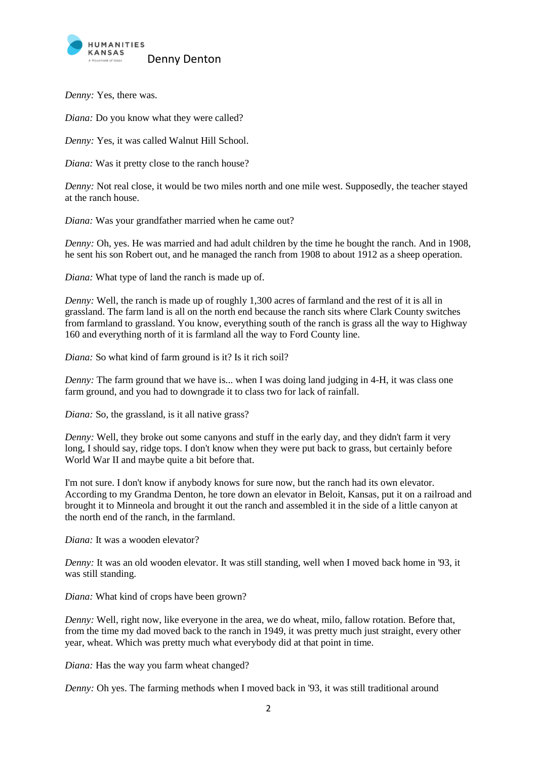

*Denny:* Yes, there was.

*Diana:* Do you know what they were called?

*Denny:* Yes, it was called Walnut Hill School.

*Diana:* Was it pretty close to the ranch house?

*Denny:* Not real close, it would be two miles north and one mile west. Supposedly, the teacher stayed at the ranch house.

*Diana:* Was your grandfather married when he came out?

*Denny:* Oh, yes. He was married and had adult children by the time he bought the ranch. And in 1908, he sent his son Robert out, and he managed the ranch from 1908 to about 1912 as a sheep operation.

*Diana:* What type of land the ranch is made up of.

*Denny:* Well, the ranch is made up of roughly 1,300 acres of farmland and the rest of it is all in grassland. The farm land is all on the north end because the ranch sits where Clark County switches from farmland to grassland. You know, everything south of the ranch is grass all the way to Highway 160 and everything north of it is farmland all the way to Ford County line.

*Diana:* So what kind of farm ground is it? Is it rich soil?

*Denny:* The farm ground that we have is... when I was doing land judging in 4-H, it was class one farm ground, and you had to downgrade it to class two for lack of rainfall.

*Diana:* So, the grassland, is it all native grass?

*Denny:* Well, they broke out some canyons and stuff in the early day, and they didn't farm it very long, I should say, ridge tops. I don't know when they were put back to grass, but certainly before World War II and maybe quite a bit before that.

I'm not sure. I don't know if anybody knows for sure now, but the ranch had its own elevator. According to my Grandma Denton, he tore down an elevator in Beloit, Kansas, put it on a railroad and brought it to Minneola and brought it out the ranch and assembled it in the side of a little canyon at the north end of the ranch, in the farmland.

*Diana:* It was a wooden elevator?

*Denny:* It was an old wooden elevator. It was still standing, well when I moved back home in '93, it was still standing.

*Diana:* What kind of crops have been grown?

*Denny:* Well, right now, like everyone in the area, we do wheat, milo, fallow rotation. Before that, from the time my dad moved back to the ranch in 1949, it was pretty much just straight, every other year, wheat. Which was pretty much what everybody did at that point in time.

*Diana:* Has the way you farm wheat changed?

*Denny:* Oh yes. The farming methods when I moved back in '93, it was still traditional around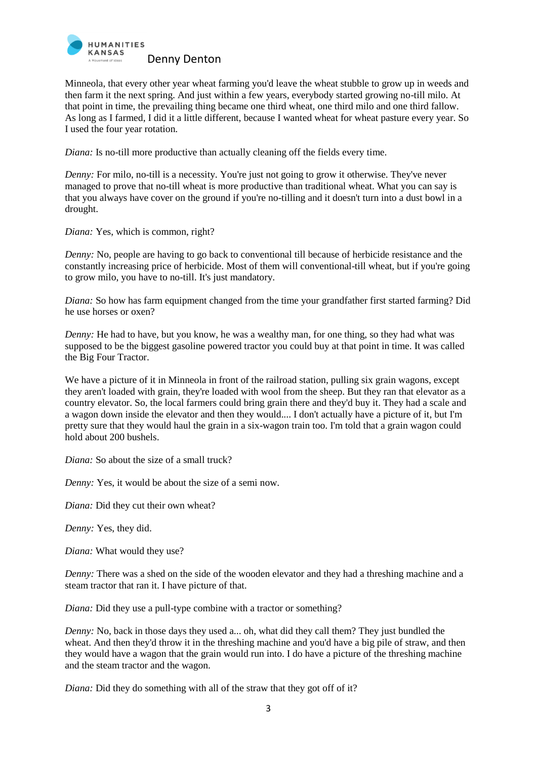

Minneola, that every other year wheat farming you'd leave the wheat stubble to grow up in weeds and then farm it the next spring. And just within a few years, everybody started growing no-till milo. At that point in time, the prevailing thing became one third wheat, one third milo and one third fallow. As long as I farmed, I did it a little different, because I wanted wheat for wheat pasture every year. So I used the four year rotation.

*Diana:* Is no-till more productive than actually cleaning off the fields every time.

*Denny:* For milo, no-till is a necessity. You're just not going to grow it otherwise. They've never managed to prove that no-till wheat is more productive than traditional wheat. What you can say is that you always have cover on the ground if you're no-tilling and it doesn't turn into a dust bowl in a drought.

*Diana:* Yes, which is common, right?

*Denny:* No, people are having to go back to conventional till because of herbicide resistance and the constantly increasing price of herbicide. Most of them will conventional-till wheat, but if you're going to grow milo, you have to no-till. It's just mandatory.

*Diana:* So how has farm equipment changed from the time your grandfather first started farming? Did he use horses or oxen?

*Denny:* He had to have, but you know, he was a wealthy man, for one thing, so they had what was supposed to be the biggest gasoline powered tractor you could buy at that point in time. It was called the Big Four Tractor.

We have a picture of it in Minneola in front of the railroad station, pulling six grain wagons, except they aren't loaded with grain, they're loaded with wool from the sheep. But they ran that elevator as a country elevator. So, the local farmers could bring grain there and they'd buy it. They had a scale and a wagon down inside the elevator and then they would.... I don't actually have a picture of it, but I'm pretty sure that they would haul the grain in a six-wagon train too. I'm told that a grain wagon could hold about 200 bushels.

*Diana:* So about the size of a small truck?

*Denny:* Yes, it would be about the size of a semi now.

*Diana:* Did they cut their own wheat?

*Denny:* Yes, they did.

*Diana:* What would they use?

*Denny:* There was a shed on the side of the wooden elevator and they had a threshing machine and a steam tractor that ran it. I have picture of that.

*Diana:* Did they use a pull-type combine with a tractor or something?

*Denny:* No, back in those days they used a... oh, what did they call them? They just bundled the wheat. And then they'd throw it in the threshing machine and you'd have a big pile of straw, and then they would have a wagon that the grain would run into. I do have a picture of the threshing machine and the steam tractor and the wagon.

*Diana:* Did they do something with all of the straw that they got off of it?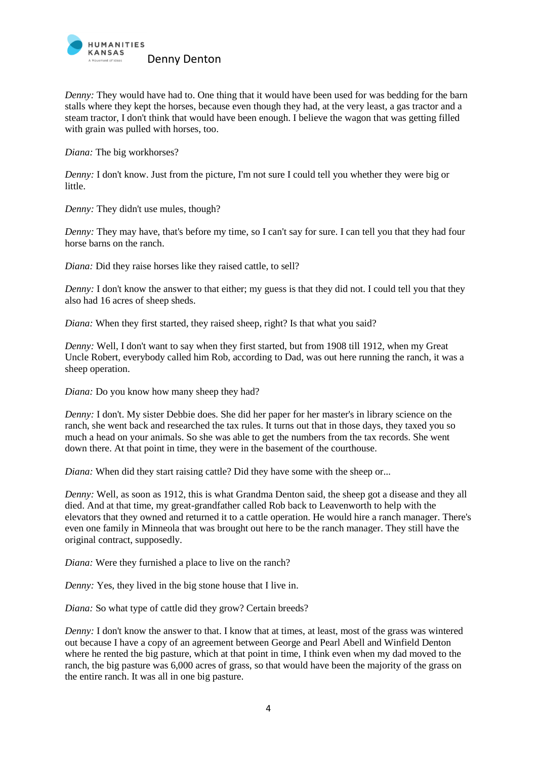

*Denny:* They would have had to. One thing that it would have been used for was bedding for the barn stalls where they kept the horses, because even though they had, at the very least, a gas tractor and a steam tractor, I don't think that would have been enough. I believe the wagon that was getting filled with grain was pulled with horses, too.

*Diana:* The big workhorses?

*Denny:* I don't know. Just from the picture, I'm not sure I could tell you whether they were big or little.

*Denny:* They didn't use mules, though?

*Denny:* They may have, that's before my time, so I can't say for sure. I can tell you that they had four horse barns on the ranch.

*Diana:* Did they raise horses like they raised cattle, to sell?

*Denny:* I don't know the answer to that either; my guess is that they did not. I could tell you that they also had 16 acres of sheep sheds.

*Diana:* When they first started, they raised sheep, right? Is that what you said?

*Denny:* Well, I don't want to say when they first started, but from 1908 till 1912, when my Great Uncle Robert, everybody called him Rob, according to Dad, was out here running the ranch, it was a sheep operation.

*Diana:* Do you know how many sheep they had?

*Denny:* I don't. My sister Debbie does. She did her paper for her master's in library science on the ranch, she went back and researched the tax rules. It turns out that in those days, they taxed you so much a head on your animals. So she was able to get the numbers from the tax records. She went down there. At that point in time, they were in the basement of the courthouse.

*Diana:* When did they start raising cattle? Did they have some with the sheep or...

*Denny:* Well, as soon as 1912, this is what Grandma Denton said, the sheep got a disease and they all died. And at that time, my great-grandfather called Rob back to Leavenworth to help with the elevators that they owned and returned it to a cattle operation. He would hire a ranch manager. There's even one family in Minneola that was brought out here to be the ranch manager. They still have the original contract, supposedly.

*Diana:* Were they furnished a place to live on the ranch?

*Denny:* Yes, they lived in the big stone house that I live in.

*Diana:* So what type of cattle did they grow? Certain breeds?

*Denny:* I don't know the answer to that. I know that at times, at least, most of the grass was wintered out because I have a copy of an agreement between George and Pearl Abell and Winfield Denton where he rented the big pasture, which at that point in time, I think even when my dad moved to the ranch, the big pasture was 6,000 acres of grass, so that would have been the majority of the grass on the entire ranch. It was all in one big pasture.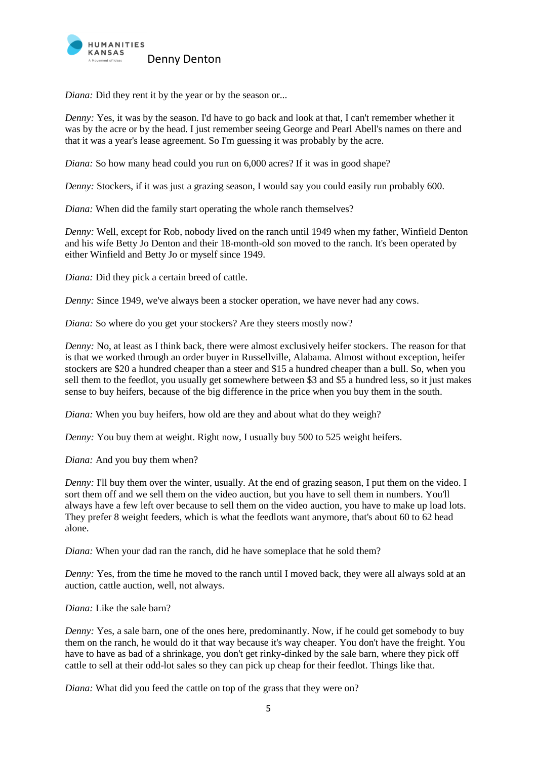

*Diana:* Did they rent it by the year or by the season or...

*Denny:* Yes, it was by the season. I'd have to go back and look at that, I can't remember whether it was by the acre or by the head. I just remember seeing George and Pearl Abell's names on there and that it was a year's lease agreement. So I'm guessing it was probably by the acre.

*Diana:* So how many head could you run on 6,000 acres? If it was in good shape?

*Denny:* Stockers, if it was just a grazing season, I would say you could easily run probably 600.

*Diana:* When did the family start operating the whole ranch themselves?

*Denny:* Well, except for Rob, nobody lived on the ranch until 1949 when my father, Winfield Denton and his wife Betty Jo Denton and their 18-month-old son moved to the ranch. It's been operated by either Winfield and Betty Jo or myself since 1949.

*Diana:* Did they pick a certain breed of cattle.

*Denny:* Since 1949, we've always been a stocker operation, we have never had any cows.

*Diana:* So where do you get your stockers? Are they steers mostly now?

*Denny:* No, at least as I think back, there were almost exclusively heifer stockers. The reason for that is that we worked through an order buyer in Russellville, Alabama. Almost without exception, heifer stockers are \$20 a hundred cheaper than a steer and \$15 a hundred cheaper than a bull. So, when you sell them to the feedlot, you usually get somewhere between \$3 and \$5 a hundred less, so it just makes sense to buy heifers, because of the big difference in the price when you buy them in the south.

*Diana:* When you buy heifers, how old are they and about what do they weigh?

*Denny:* You buy them at weight. Right now, I usually buy 500 to 525 weight heifers.

*Diana:* And you buy them when?

*Denny:* I'll buy them over the winter, usually. At the end of grazing season, I put them on the video. I sort them off and we sell them on the video auction, but you have to sell them in numbers. You'll always have a few left over because to sell them on the video auction, you have to make up load lots. They prefer 8 weight feeders, which is what the feedlots want anymore, that's about 60 to 62 head alone.

*Diana:* When your dad ran the ranch, did he have someplace that he sold them?

*Denny:* Yes, from the time he moved to the ranch until I moved back, they were all always sold at an auction, cattle auction, well, not always.

*Diana:* Like the sale barn?

*Denny:* Yes, a sale barn, one of the ones here, predominantly. Now, if he could get somebody to buy them on the ranch, he would do it that way because it's way cheaper. You don't have the freight. You have to have as bad of a shrinkage, you don't get rinky-dinked by the sale barn, where they pick off cattle to sell at their odd-lot sales so they can pick up cheap for their feedlot. Things like that.

*Diana:* What did you feed the cattle on top of the grass that they were on?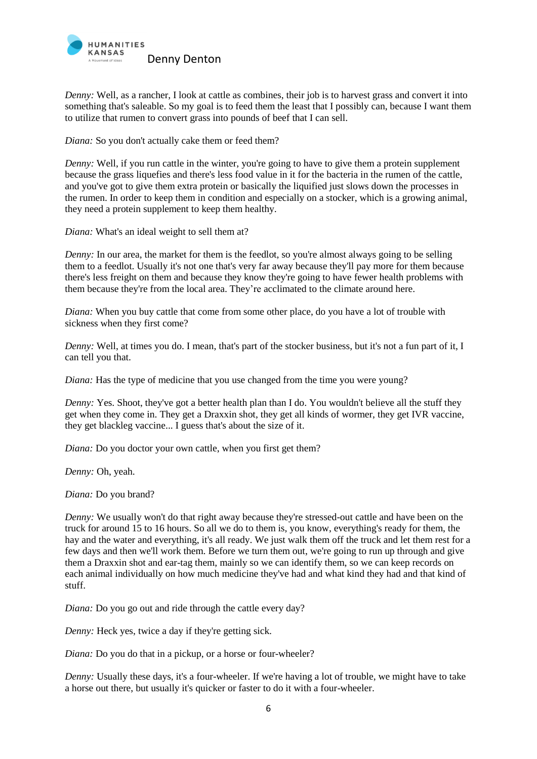

*Denny:* Well, as a rancher, I look at cattle as combines, their job is to harvest grass and convert it into something that's saleable. So my goal is to feed them the least that I possibly can, because I want them to utilize that rumen to convert grass into pounds of beef that I can sell.

*Diana:* So you don't actually cake them or feed them?

*Denny:* Well, if you run cattle in the winter, you're going to have to give them a protein supplement because the grass liquefies and there's less food value in it for the bacteria in the rumen of the cattle, and you've got to give them extra protein or basically the liquified just slows down the processes in the rumen. In order to keep them in condition and especially on a stocker, which is a growing animal, they need a protein supplement to keep them healthy.

*Diana:* What's an ideal weight to sell them at?

*Denny:* In our area, the market for them is the feedlot, so you're almost always going to be selling them to a feedlot. Usually it's not one that's very far away because they'll pay more for them because there's less freight on them and because they know they're going to have fewer health problems with them because they're from the local area. They're acclimated to the climate around here.

*Diana:* When you buy cattle that come from some other place, do you have a lot of trouble with sickness when they first come?

*Denny:* Well, at times you do. I mean, that's part of the stocker business, but it's not a fun part of it, I can tell you that.

*Diana:* Has the type of medicine that you use changed from the time you were young?

*Denny:* Yes. Shoot, they've got a better health plan than I do. You wouldn't believe all the stuff they get when they come in. They get a Draxxin shot, they get all kinds of wormer, they get IVR vaccine, they get blackleg vaccine... I guess that's about the size of it.

*Diana:* Do you doctor your own cattle, when you first get them?

*Denny:* Oh, yeah.

*Diana:* Do you brand?

*Denny:* We usually won't do that right away because they're stressed-out cattle and have been on the truck for around 15 to 16 hours. So all we do to them is, you know, everything's ready for them, the hay and the water and everything, it's all ready. We just walk them off the truck and let them rest for a few days and then we'll work them. Before we turn them out, we're going to run up through and give them a Draxxin shot and ear-tag them, mainly so we can identify them, so we can keep records on each animal individually on how much medicine they've had and what kind they had and that kind of stuff.

*Diana:* Do you go out and ride through the cattle every day?

*Denny:* Heck yes, twice a day if they're getting sick.

*Diana:* Do you do that in a pickup, or a horse or four-wheeler?

*Denny:* Usually these days, it's a four-wheeler. If we're having a lot of trouble, we might have to take a horse out there, but usually it's quicker or faster to do it with a four-wheeler.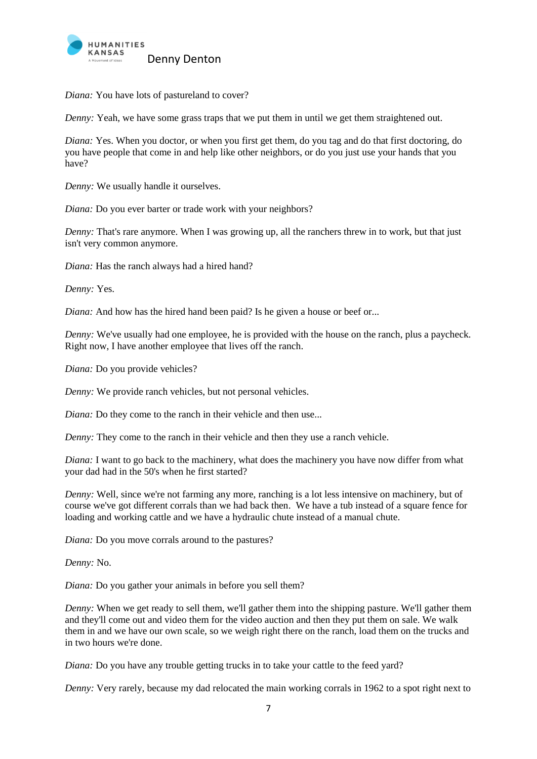

*Diana:* You have lots of pastureland to cover?

*Denny:* Yeah, we have some grass traps that we put them in until we get them straightened out.

*Diana:* Yes. When you doctor, or when you first get them, do you tag and do that first doctoring, do you have people that come in and help like other neighbors, or do you just use your hands that you have?

*Denny:* We usually handle it ourselves.

*Diana:* Do you ever barter or trade work with your neighbors?

*Denny:* That's rare anymore. When I was growing up, all the ranchers threw in to work, but that just isn't very common anymore.

*Diana:* Has the ranch always had a hired hand?

*Denny:* Yes.

*Diana:* And how has the hired hand been paid? Is he given a house or beef or...

*Denny:* We've usually had one employee, he is provided with the house on the ranch, plus a paycheck. Right now, I have another employee that lives off the ranch.

*Diana:* Do you provide vehicles?

*Denny:* We provide ranch vehicles, but not personal vehicles.

*Diana:* Do they come to the ranch in their vehicle and then use...

*Denny:* They come to the ranch in their vehicle and then they use a ranch vehicle.

*Diana:* I want to go back to the machinery, what does the machinery you have now differ from what your dad had in the 50's when he first started?

*Denny:* Well, since we're not farming any more, ranching is a lot less intensive on machinery, but of course we've got different corrals than we had back then. We have a tub instead of a square fence for loading and working cattle and we have a hydraulic chute instead of a manual chute.

*Diana:* Do you move corrals around to the pastures?

*Denny:* No.

*Diana:* Do you gather your animals in before you sell them?

*Denny:* When we get ready to sell them, we'll gather them into the shipping pasture. We'll gather them and they'll come out and video them for the video auction and then they put them on sale. We walk them in and we have our own scale, so we weigh right there on the ranch, load them on the trucks and in two hours we're done.

*Diana:* Do you have any trouble getting trucks in to take your cattle to the feed yard?

*Denny:* Very rarely, because my dad relocated the main working corrals in 1962 to a spot right next to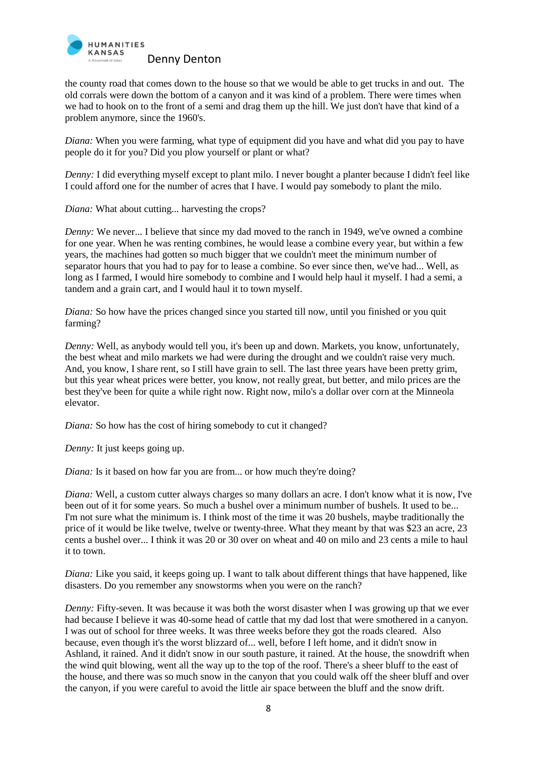

the county road that comes down to the house so that we would be able to get trucks in and out. The old corrals were down the bottom of a canyon and it was kind of a problem. There were times when we had to hook on to the front of a semi and drag them up the hill. We just don't have that kind of a problem anymore, since the 1960's.

*Diana:* When you were farming, what type of equipment did you have and what did you pay to have people do it for you? Did you plow yourself or plant or what?

*Denny:* I did everything myself except to plant milo. I never bought a planter because I didn't feel like I could afford one for the number of acres that I have. I would pay somebody to plant the milo.

*Diana:* What about cutting... harvesting the crops?

*Denny:* We never... I believe that since my dad moved to the ranch in 1949, we've owned a combine for one year. When he was renting combines, he would lease a combine every year, but within a few years, the machines had gotten so much bigger that we couldn't meet the minimum number of separator hours that you had to pay for to lease a combine. So ever since then, we've had... Well, as long as I farmed, I would hire somebody to combine and I would help haul it myself. I had a semi, a tandem and a grain cart, and I would haul it to town myself.

*Diana:* So how have the prices changed since you started till now, until you finished or you quit farming?

*Denny:* Well, as anybody would tell you, it's been up and down. Markets, you know, unfortunately, the best wheat and milo markets we had were during the drought and we couldn't raise very much. And, you know, I share rent, so I still have grain to sell. The last three years have been pretty grim, but this year wheat prices were better, you know, not really great, but better, and milo prices are the best they've been for quite a while right now. Right now, milo's a dollar over corn at the Minneola elevator.

*Diana:* So how has the cost of hiring somebody to cut it changed?

*Denny:* It just keeps going up.

*Diana:* Is it based on how far you are from... or how much they're doing?

*Diana:* Well, a custom cutter always charges so many dollars an acre. I don't know what it is now, I've been out of it for some years. So much a bushel over a minimum number of bushels. It used to be... I'm not sure what the minimum is. I think most of the time it was 20 bushels, maybe traditionally the price of it would be like twelve, twelve or twenty-three. What they meant by that was \$23 an acre, 23 cents a bushel over... I think it was 20 or 30 over on wheat and 40 on milo and 23 cents a mile to haul it to town.

*Diana:* Like you said, it keeps going up. I want to talk about different things that have happened, like disasters. Do you remember any snowstorms when you were on the ranch?

*Denny:* Fifty-seven. It was because it was both the worst disaster when I was growing up that we ever had because I believe it was 40-some head of cattle that my dad lost that were smothered in a canyon. I was out of school for three weeks. It was three weeks before they got the roads cleared. Also because, even though it's the worst blizzard of... well, before I left home, and it didn't snow in Ashland, it rained. And it didn't snow in our south pasture, it rained. At the house, the snowdrift when the wind quit blowing, went all the way up to the top of the roof. There's a sheer bluff to the east of the house, and there was so much snow in the canyon that you could walk off the sheer bluff and over the canyon, if you were careful to avoid the little air space between the bluff and the snow drift.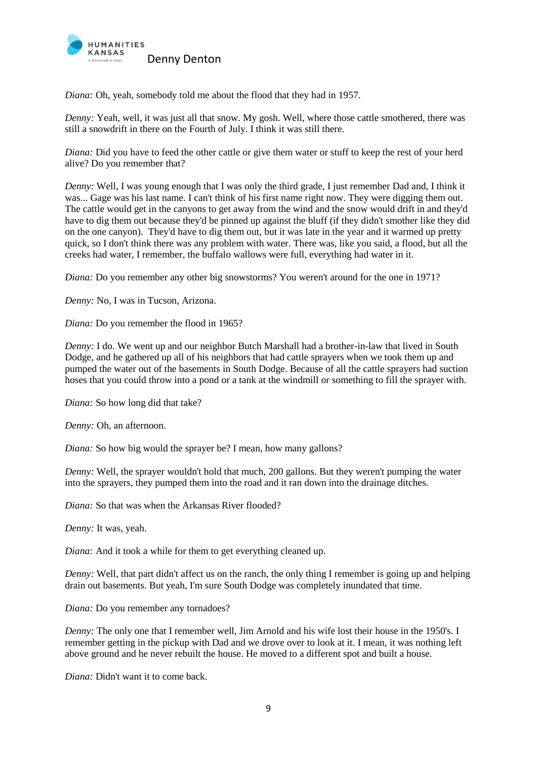

*Diana:* Oh, yeah, somebody told me about the flood that they had in 1957.

*Denny:* Yeah, well, it was just all that snow. My gosh. Well, where those cattle smothered, there was still a snowdrift in there on the Fourth of July. I think it was still there.

*Diana:* Did you have to feed the other cattle or give them water or stuff to keep the rest of your herd alive? Do you remember that?

*Denny:* Well, I was young enough that I was only the third grade, I just remember Dad and, I think it was... Gage was his last name. I can't think of his first name right now. They were digging them out. The cattle would get in the canyons to get away from the wind and the snow would drift in and they'd have to dig them out because they'd be pinned up against the bluff (if they didn't smother like they did on the one canyon). They'd have to dig them out, but it was late in the year and it warmed up pretty quick, so I don't think there was any problem with water. There was, like you said, a flood, but all the creeks had water, I remember, the buffalo wallows were full, everything had water in it.

*Diana:* Do you remember any other big snowstorms? You weren't around for the one in 1971?

*Denny:* No, I was in Tucson, Arizona.

*Diana:* Do you remember the flood in 1965?

*Denny:* I do. We went up and our neighbor Butch Marshall had a brother-in-law that lived in South Dodge, and he gathered up all of his neighbors that had cattle sprayers when we took them up and pumped the water out of the basements in South Dodge. Because of all the cattle sprayers had suction hoses that you could throw into a pond or a tank at the windmill or something to fill the sprayer with.

*Diana:* So how long did that take?

*Denny:* Oh, an afternoon.

*Diana:* So how big would the sprayer be? I mean, how many gallons?

*Denny:* Well, the sprayer wouldn't hold that much, 200 gallons. But they weren't pumping the water into the sprayers, they pumped them into the road and it ran down into the drainage ditches.

*Diana:* So that was when the Arkansas River flooded?

*Denny:* It was, yeah.

*Diana:* And it took a while for them to get everything cleaned up.

*Denny:* Well, that part didn't affect us on the ranch, the only thing I remember is going up and helping drain out basements. But yeah, I'm sure South Dodge was completely inundated that time.

*Diana:* Do you remember any tornadoes?

*Denny:* The only one that I remember well, Jim Arnold and his wife lost their house in the 1950's. I remember getting in the pickup with Dad and we drove over to look at it. I mean, it was nothing left above ground and he never rebuilt the house. He moved to a different spot and built a house.

*Diana:* Didn't want it to come back.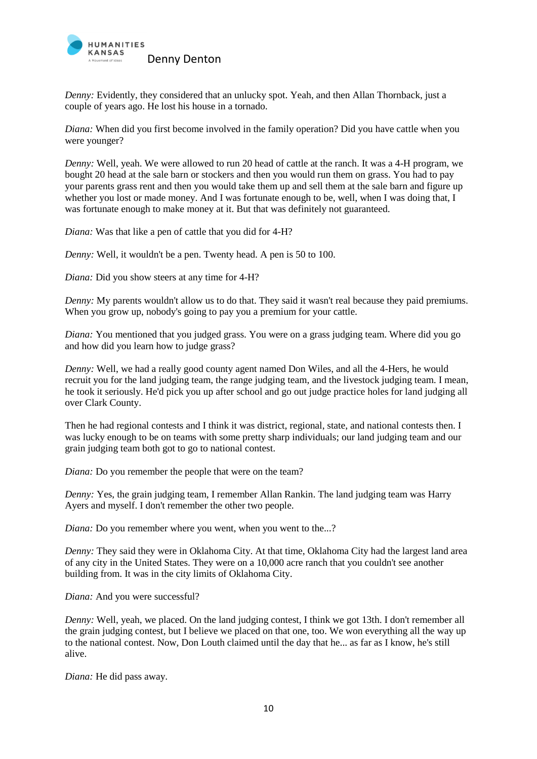

*Denny:* Evidently, they considered that an unlucky spot. Yeah, and then Allan Thornback, just a couple of years ago. He lost his house in a tornado.

*Diana:* When did you first become involved in the family operation? Did you have cattle when you were younger?

*Denny:* Well, yeah. We were allowed to run 20 head of cattle at the ranch. It was a 4-H program, we bought 20 head at the sale barn or stockers and then you would run them on grass. You had to pay your parents grass rent and then you would take them up and sell them at the sale barn and figure up whether you lost or made money. And I was fortunate enough to be, well, when I was doing that, I was fortunate enough to make money at it. But that was definitely not guaranteed.

*Diana:* Was that like a pen of cattle that you did for 4-H?

*Denny:* Well, it wouldn't be a pen. Twenty head. A pen is 50 to 100.

*Diana:* Did you show steers at any time for 4-H?

*Denny:* My parents wouldn't allow us to do that. They said it wasn't real because they paid premiums. When you grow up, nobody's going to pay you a premium for your cattle.

*Diana:* You mentioned that you judged grass. You were on a grass judging team. Where did you go and how did you learn how to judge grass?

*Denny:* Well, we had a really good county agent named Don Wiles, and all the 4-Hers, he would recruit you for the land judging team, the range judging team, and the livestock judging team. I mean, he took it seriously. He'd pick you up after school and go out judge practice holes for land judging all over Clark County.

Then he had regional contests and I think it was district, regional, state, and national contests then. I was lucky enough to be on teams with some pretty sharp individuals; our land judging team and our grain judging team both got to go to national contest.

*Diana:* Do you remember the people that were on the team?

*Denny:* Yes, the grain judging team, I remember Allan Rankin. The land judging team was Harry Ayers and myself. I don't remember the other two people.

*Diana:* Do you remember where you went, when you went to the...?

*Denny:* They said they were in Oklahoma City. At that time, Oklahoma City had the largest land area of any city in the United States. They were on a 10,000 acre ranch that you couldn't see another building from. It was in the city limits of Oklahoma City.

*Diana:* And you were successful?

*Denny:* Well, yeah, we placed. On the land judging contest, I think we got 13th. I don't remember all the grain judging contest, but I believe we placed on that one, too. We won everything all the way up to the national contest. Now, Don Louth claimed until the day that he... as far as I know, he's still alive.

*Diana:* He did pass away.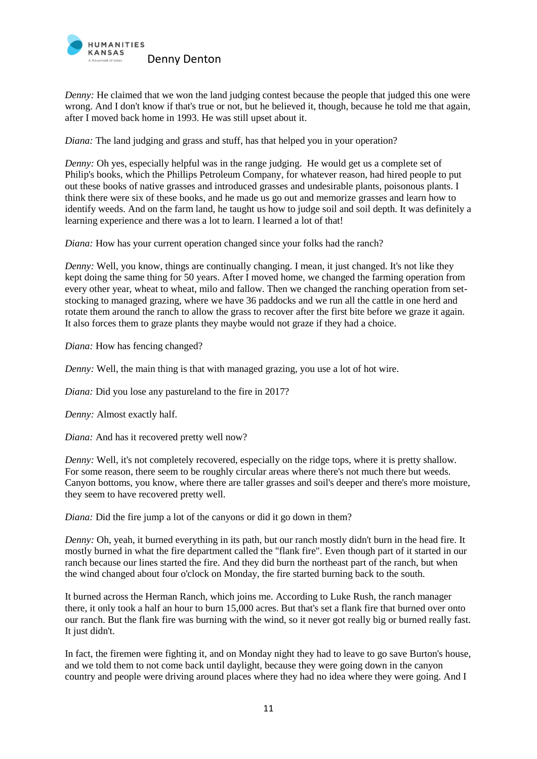

*Denny:* He claimed that we won the land judging contest because the people that judged this one were wrong. And I don't know if that's true or not, but he believed it, though, because he told me that again, after I moved back home in 1993. He was still upset about it.

*Diana:* The land judging and grass and stuff, has that helped you in your operation?

*Denny:* Oh yes, especially helpful was in the range judging. He would get us a complete set of Philip's books, which the Phillips Petroleum Company, for whatever reason, had hired people to put out these books of native grasses and introduced grasses and undesirable plants, poisonous plants. I think there were six of these books, and he made us go out and memorize grasses and learn how to identify weeds. And on the farm land, he taught us how to judge soil and soil depth. It was definitely a learning experience and there was a lot to learn. I learned a lot of that!

*Diana:* How has your current operation changed since your folks had the ranch?

*Denny:* Well, you know, things are continually changing. I mean, it just changed. It's not like they kept doing the same thing for 50 years. After I moved home, we changed the farming operation from every other year, wheat to wheat, milo and fallow. Then we changed the ranching operation from setstocking to managed grazing, where we have 36 paddocks and we run all the cattle in one herd and rotate them around the ranch to allow the grass to recover after the first bite before we graze it again. It also forces them to graze plants they maybe would not graze if they had a choice.

*Diana:* How has fencing changed?

*Denny:* Well, the main thing is that with managed grazing, you use a lot of hot wire.

*Diana:* Did you lose any pastureland to the fire in 2017?

*Denny:* Almost exactly half.

*Diana:* And has it recovered pretty well now?

*Denny:* Well, it's not completely recovered, especially on the ridge tops, where it is pretty shallow. For some reason, there seem to be roughly circular areas where there's not much there but weeds. Canyon bottoms, you know, where there are taller grasses and soil's deeper and there's more moisture, they seem to have recovered pretty well.

*Diana:* Did the fire jump a lot of the canyons or did it go down in them?

*Denny:* Oh, yeah, it burned everything in its path, but our ranch mostly didn't burn in the head fire. It mostly burned in what the fire department called the "flank fire". Even though part of it started in our ranch because our lines started the fire. And they did burn the northeast part of the ranch, but when the wind changed about four o'clock on Monday, the fire started burning back to the south.

It burned across the Herman Ranch, which joins me. According to Luke Rush, the ranch manager there, it only took a half an hour to burn 15,000 acres. But that's set a flank fire that burned over onto our ranch. But the flank fire was burning with the wind, so it never got really big or burned really fast. It just didn't.

In fact, the firemen were fighting it, and on Monday night they had to leave to go save Burton's house, and we told them to not come back until daylight, because they were going down in the canyon country and people were driving around places where they had no idea where they were going. And I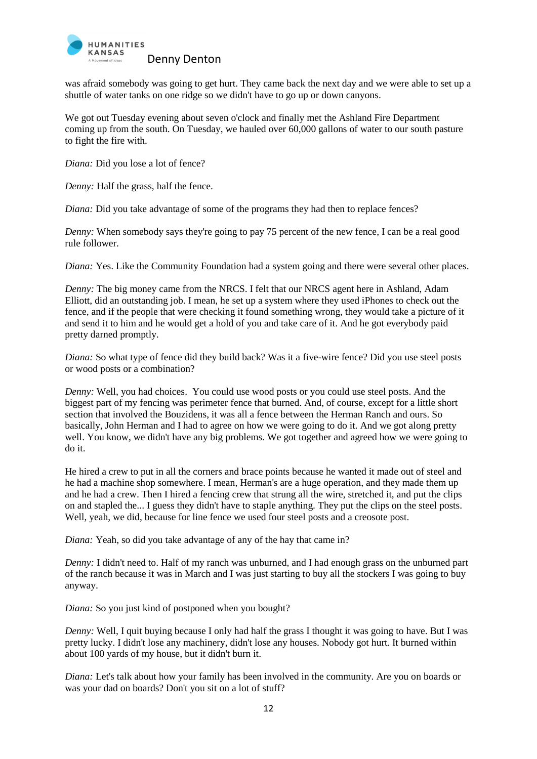

was afraid somebody was going to get hurt. They came back the next day and we were able to set up a shuttle of water tanks on one ridge so we didn't have to go up or down canyons.

We got out Tuesday evening about seven o'clock and finally met the Ashland Fire Department coming up from the south. On Tuesday, we hauled over 60,000 gallons of water to our south pasture to fight the fire with.

*Diana:* Did you lose a lot of fence?

*Denny:* Half the grass, half the fence.

*Diana:* Did you take advantage of some of the programs they had then to replace fences?

*Denny:* When somebody says they're going to pay 75 percent of the new fence, I can be a real good rule follower.

*Diana:* Yes. Like the Community Foundation had a system going and there were several other places.

*Denny:* The big money came from the NRCS. I felt that our NRCS agent here in Ashland, Adam Elliott, did an outstanding job. I mean, he set up a system where they used iPhones to check out the fence, and if the people that were checking it found something wrong, they would take a picture of it and send it to him and he would get a hold of you and take care of it. And he got everybody paid pretty darned promptly.

*Diana:* So what type of fence did they build back? Was it a five-wire fence? Did you use steel posts or wood posts or a combination?

*Denny:* Well, you had choices. You could use wood posts or you could use steel posts. And the biggest part of my fencing was perimeter fence that burned. And, of course, except for a little short section that involved the Bouzidens, it was all a fence between the Herman Ranch and ours. So basically, John Herman and I had to agree on how we were going to do it. And we got along pretty well. You know, we didn't have any big problems. We got together and agreed how we were going to do it.

He hired a crew to put in all the corners and brace points because he wanted it made out of steel and he had a machine shop somewhere. I mean, Herman's are a huge operation, and they made them up and he had a crew. Then I hired a fencing crew that strung all the wire, stretched it, and put the clips on and stapled the... I guess they didn't have to staple anything. They put the clips on the steel posts. Well, yeah, we did, because for line fence we used four steel posts and a creosote post.

*Diana:* Yeah, so did you take advantage of any of the hay that came in?

*Denny:* I didn't need to. Half of my ranch was unburned, and I had enough grass on the unburned part of the ranch because it was in March and I was just starting to buy all the stockers I was going to buy anyway.

*Diana:* So you just kind of postponed when you bought?

*Denny:* Well, I quit buying because I only had half the grass I thought it was going to have. But I was pretty lucky. I didn't lose any machinery, didn't lose any houses. Nobody got hurt. It burned within about 100 yards of my house, but it didn't burn it.

*Diana:* Let's talk about how your family has been involved in the community. Are you on boards or was your dad on boards? Don't you sit on a lot of stuff?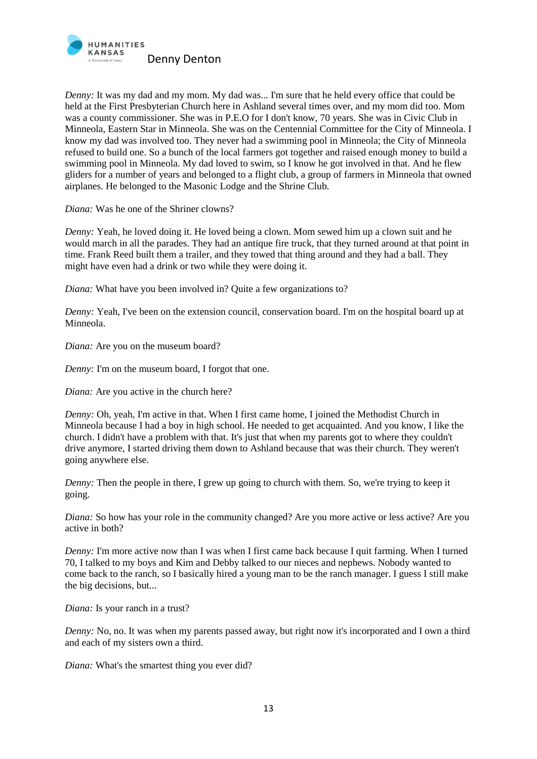

*Denny:* It was my dad and my mom. My dad was... I'm sure that he held every office that could be held at the First Presbyterian Church here in Ashland several times over, and my mom did too. Mom was a county commissioner. She was in P.E.O for I don't know, 70 years. She was in Civic Club in Minneola, Eastern Star in Minneola. She was on the Centennial Committee for the City of Minneola. I know my dad was involved too. They never had a swimming pool in Minneola; the City of Minneola refused to build one. So a bunch of the local farmers got together and raised enough money to build a swimming pool in Minneola. My dad loved to swim, so I know he got involved in that. And he flew gliders for a number of years and belonged to a flight club, a group of farmers in Minneola that owned airplanes. He belonged to the Masonic Lodge and the Shrine Club.

*Diana:* Was he one of the Shriner clowns?

*Denny:* Yeah, he loved doing it. He loved being a clown. Mom sewed him up a clown suit and he would march in all the parades. They had an antique fire truck, that they turned around at that point in time. Frank Reed built them a trailer, and they towed that thing around and they had a ball. They might have even had a drink or two while they were doing it.

*Diana:* What have you been involved in? Quite a few organizations to?

*Denny:* Yeah, I've been on the extension council, conservation board. I'm on the hospital board up at Minneola.

*Diana:* Are you on the museum board?

*Denny:* I'm on the museum board, I forgot that one.

*Diana:* Are you active in the church here?

*Denny:* Oh, yeah, I'm active in that. When I first came home, I joined the Methodist Church in Minneola because I had a boy in high school. He needed to get acquainted. And you know, I like the church. I didn't have a problem with that. It's just that when my parents got to where they couldn't drive anymore, I started driving them down to Ashland because that was their church. They weren't going anywhere else.

*Denny:* Then the people in there, I grew up going to church with them. So, we're trying to keep it going.

*Diana:* So how has your role in the community changed? Are you more active or less active? Are you active in both?

*Denny:* I'm more active now than I was when I first came back because I quit farming. When I turned 70, I talked to my boys and Kim and Debby talked to our nieces and nephews. Nobody wanted to come back to the ranch, so I basically hired a young man to be the ranch manager. I guess I still make the big decisions, but...

*Diana*: Is your ranch in a trust?

*Denny:* No, no. It was when my parents passed away, but right now it's incorporated and I own a third and each of my sisters own a third.

*Diana:* What's the smartest thing you ever did?